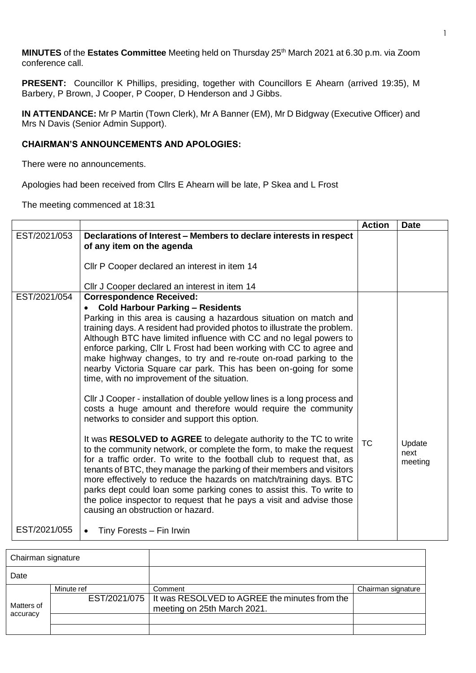**MINUTES** of the Estates Committee Meeting held on Thursday 25<sup>th</sup> March 2021 at 6.30 p.m. via Zoom conference call.

**PRESENT:** Councillor K Phillips, presiding, together with Councillors E Ahearn (arrived 19:35), M Barbery, P Brown, J Cooper, P Cooper, D Henderson and J Gibbs.

**IN ATTENDANCE:** Mr P Martin (Town Clerk), Mr A Banner (EM), Mr D Bidgway (Executive Officer) and Mrs N Davis (Senior Admin Support).

## **CHAIRMAN'S ANNOUNCEMENTS AND APOLOGIES:**

There were no announcements.

Apologies had been received from Cllrs E Ahearn will be late, P Skea and L Frost

The meeting commenced at 18:31

|              |                                                                                                                                                                                                                                                                                                                                                                                                                                                                                                                                                                                                                                                                                                                                                                                                                                                                                                                                                                                                                                                                                                                                                                                                                                                                                                    | <b>Action</b> | <b>Date</b>               |
|--------------|----------------------------------------------------------------------------------------------------------------------------------------------------------------------------------------------------------------------------------------------------------------------------------------------------------------------------------------------------------------------------------------------------------------------------------------------------------------------------------------------------------------------------------------------------------------------------------------------------------------------------------------------------------------------------------------------------------------------------------------------------------------------------------------------------------------------------------------------------------------------------------------------------------------------------------------------------------------------------------------------------------------------------------------------------------------------------------------------------------------------------------------------------------------------------------------------------------------------------------------------------------------------------------------------------|---------------|---------------------------|
| EST/2021/053 | Declarations of Interest – Members to declare interests in respect<br>of any item on the agenda                                                                                                                                                                                                                                                                                                                                                                                                                                                                                                                                                                                                                                                                                                                                                                                                                                                                                                                                                                                                                                                                                                                                                                                                    |               |                           |
|              | CIIr P Cooper declared an interest in item 14                                                                                                                                                                                                                                                                                                                                                                                                                                                                                                                                                                                                                                                                                                                                                                                                                                                                                                                                                                                                                                                                                                                                                                                                                                                      |               |                           |
|              | Cllr J Cooper declared an interest in item 14                                                                                                                                                                                                                                                                                                                                                                                                                                                                                                                                                                                                                                                                                                                                                                                                                                                                                                                                                                                                                                                                                                                                                                                                                                                      |               |                           |
| EST/2021/054 | <b>Correspondence Received:</b><br><b>Cold Harbour Parking - Residents</b><br>$\bullet$<br>Parking in this area is causing a hazardous situation on match and<br>training days. A resident had provided photos to illustrate the problem.<br>Although BTC have limited influence with CC and no legal powers to<br>enforce parking, Cllr L Frost had been working with CC to agree and<br>make highway changes, to try and re-route on-road parking to the<br>nearby Victoria Square car park. This has been on-going for some<br>time, with no improvement of the situation.<br>CIIr J Cooper - installation of double yellow lines is a long process and<br>costs a huge amount and therefore would require the community<br>networks to consider and support this option.<br>It was RESOLVED to AGREE to delegate authority to the TC to write<br>to the community network, or complete the form, to make the request<br>for a traffic order. To write to the football club to request that, as<br>tenants of BTC, they manage the parking of their members and visitors<br>more effectively to reduce the hazards on match/training days. BTC<br>parks dept could loan some parking cones to assist this. To write to<br>the police inspector to request that he pays a visit and advise those | <b>TC</b>     | Update<br>next<br>meeting |
| EST/2021/055 | causing an obstruction or hazard.<br>Tiny Forests - Fin Irwin                                                                                                                                                                                                                                                                                                                                                                                                                                                                                                                                                                                                                                                                                                                                                                                                                                                                                                                                                                                                                                                                                                                                                                                                                                      |               |                           |

| Chairman signature     |            |                                                              |                    |
|------------------------|------------|--------------------------------------------------------------|--------------------|
| Date                   |            |                                                              |                    |
|                        | Minute ref | Comment                                                      | Chairman signature |
|                        |            | EST/2021/075   It was RESOLVED to AGREE the minutes from the |                    |
| Matters of<br>accuracy |            | meeting on 25th March 2021.                                  |                    |
|                        |            |                                                              |                    |
|                        |            |                                                              |                    |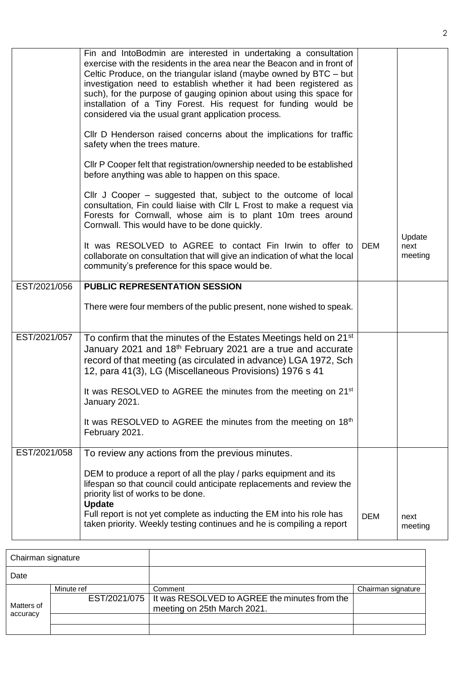|              | Fin and IntoBodmin are interested in undertaking a consultation<br>exercise with the residents in the area near the Beacon and in front of<br>Celtic Produce, on the triangular island (maybe owned by BTC – but<br>investigation need to establish whether it had been registered as<br>such), for the purpose of gauging opinion about using this space for<br>installation of a Tiny Forest. His request for funding would be<br>considered via the usual grant application process. |            |                           |
|--------------|-----------------------------------------------------------------------------------------------------------------------------------------------------------------------------------------------------------------------------------------------------------------------------------------------------------------------------------------------------------------------------------------------------------------------------------------------------------------------------------------|------------|---------------------------|
|              | CIIr D Henderson raised concerns about the implications for traffic<br>safety when the trees mature.                                                                                                                                                                                                                                                                                                                                                                                    |            |                           |
|              | CIIr P Cooper felt that registration/ownership needed to be established<br>before anything was able to happen on this space.                                                                                                                                                                                                                                                                                                                                                            |            |                           |
|              | Cllr J Cooper – suggested that, subject to the outcome of local<br>consultation, Fin could liaise with Cllr L Frost to make a request via<br>Forests for Cornwall, whose aim is to plant 10m trees around<br>Cornwall. This would have to be done quickly.                                                                                                                                                                                                                              |            |                           |
|              | It was RESOLVED to AGREE to contact Fin Irwin to offer to<br>collaborate on consultation that will give an indication of what the local<br>community's preference for this space would be.                                                                                                                                                                                                                                                                                              | <b>DEM</b> | Update<br>next<br>meeting |
| EST/2021/056 | <b>PUBLIC REPRESENTATION SESSION</b>                                                                                                                                                                                                                                                                                                                                                                                                                                                    |            |                           |
|              | There were four members of the public present, none wished to speak.                                                                                                                                                                                                                                                                                                                                                                                                                    |            |                           |
| EST/2021/057 | To confirm that the minutes of the Estates Meetings held on 21 <sup>st</sup><br>January 2021 and 18 <sup>th</sup> February 2021 are a true and accurate<br>record of that meeting (as circulated in advance) LGA 1972, Sch<br>12, para 41(3), LG (Miscellaneous Provisions) 1976 s 41                                                                                                                                                                                                   |            |                           |
|              | It was RESOLVED to AGREE the minutes from the meeting on 21 <sup>st</sup><br>January 2021.                                                                                                                                                                                                                                                                                                                                                                                              |            |                           |
|              | It was RESOLVED to AGREE the minutes from the meeting on 18 <sup>th</sup><br>February 2021.                                                                                                                                                                                                                                                                                                                                                                                             |            |                           |
| EST/2021/058 | To review any actions from the previous minutes.                                                                                                                                                                                                                                                                                                                                                                                                                                        |            |                           |
|              | DEM to produce a report of all the play / parks equipment and its<br>lifespan so that council could anticipate replacements and review the<br>priority list of works to be done.<br><b>Update</b>                                                                                                                                                                                                                                                                                       |            |                           |
|              | Full report is not yet complete as inducting the EM into his role has<br>taken priority. Weekly testing continues and he is compiling a report                                                                                                                                                                                                                                                                                                                                          | <b>DEM</b> | next<br>meeting           |

| Chairman signature     |            |                                                              |                    |
|------------------------|------------|--------------------------------------------------------------|--------------------|
| Date                   |            |                                                              |                    |
|                        | Minute ref | Comment                                                      | Chairman signature |
|                        |            | EST/2021/075   It was RESOLVED to AGREE the minutes from the |                    |
| Matters of<br>accuracy |            | meeting on 25th March 2021.                                  |                    |
|                        |            |                                                              |                    |
|                        |            |                                                              |                    |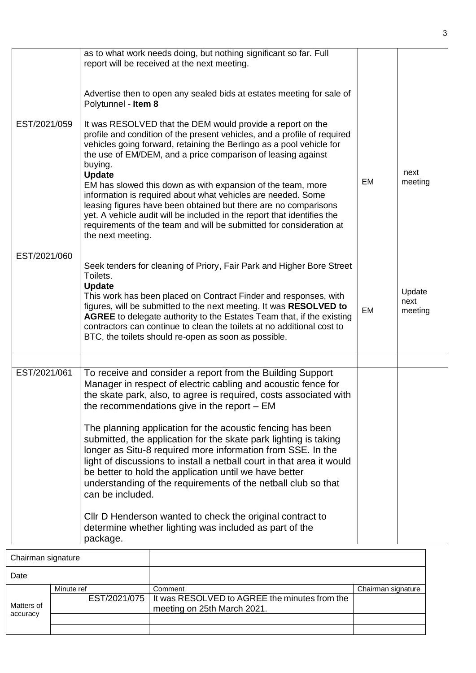|                    |                                               | as to what work needs doing, but nothing significant so far. Full<br>report will be received at the next meeting.                                                                                                                                                                                                                                                                                                                                                                                                                                                                                                                  |           |                           |
|--------------------|-----------------------------------------------|------------------------------------------------------------------------------------------------------------------------------------------------------------------------------------------------------------------------------------------------------------------------------------------------------------------------------------------------------------------------------------------------------------------------------------------------------------------------------------------------------------------------------------------------------------------------------------------------------------------------------------|-----------|---------------------------|
|                    | Polytunnel - Item 8                           | Advertise then to open any sealed bids at estates meeting for sale of                                                                                                                                                                                                                                                                                                                                                                                                                                                                                                                                                              |           |                           |
| EST/2021/059       | buying.<br><b>Update</b><br>the next meeting. | It was RESOLVED that the DEM would provide a report on the<br>profile and condition of the present vehicles, and a profile of required<br>vehicles going forward, retaining the Berlingo as a pool vehicle for<br>the use of EM/DEM, and a price comparison of leasing against<br>EM has slowed this down as with expansion of the team, more<br>information is required about what vehicles are needed. Some<br>leasing figures have been obtained but there are no comparisons<br>yet. A vehicle audit will be included in the report that identifies the<br>requirements of the team and will be submitted for consideration at | EM        | next<br>meeting           |
| EST/2021/060       |                                               | Seek tenders for cleaning of Priory, Fair Park and Higher Bore Street                                                                                                                                                                                                                                                                                                                                                                                                                                                                                                                                                              |           |                           |
|                    | Toilets.<br><b>Update</b>                     | This work has been placed on Contract Finder and responses, with<br>figures, will be submitted to the next meeting. It was RESOLVED to<br>AGREE to delegate authority to the Estates Team that, if the existing<br>contractors can continue to clean the toilets at no additional cost to<br>BTC, the toilets should re-open as soon as possible.                                                                                                                                                                                                                                                                                  | <b>EM</b> | Update<br>next<br>meeting |
|                    |                                               |                                                                                                                                                                                                                                                                                                                                                                                                                                                                                                                                                                                                                                    |           |                           |
| EST/2021/061       |                                               | To receive and consider a report from the Building Support<br>Manager in respect of electric cabling and acoustic fence for<br>the skate park, also, to agree is required, costs associated with<br>the recommendations give in the report $-$ EM                                                                                                                                                                                                                                                                                                                                                                                  |           |                           |
|                    | can be included.                              | The planning application for the acoustic fencing has been<br>submitted, the application for the skate park lighting is taking<br>longer as Situ-8 required more information from SSE. In the<br>light of discussions to install a netball court in that area it would<br>be better to hold the application until we have better<br>understanding of the requirements of the netball club so that                                                                                                                                                                                                                                  |           |                           |
|                    | package.                                      | Cllr D Henderson wanted to check the original contract to<br>determine whether lighting was included as part of the                                                                                                                                                                                                                                                                                                                                                                                                                                                                                                                |           |                           |
| Chairman signature |                                               |                                                                                                                                                                                                                                                                                                                                                                                                                                                                                                                                                                                                                                    |           |                           |

| Chairman signature     |            |                                                              |                    |
|------------------------|------------|--------------------------------------------------------------|--------------------|
| Date                   |            |                                                              |                    |
|                        | Minute ref | Comment                                                      | Chairman signature |
| Matters of<br>accuracy |            | EST/2021/075   It was RESOLVED to AGREE the minutes from the |                    |
|                        |            | meeting on 25th March 2021.                                  |                    |
|                        |            |                                                              |                    |
|                        |            |                                                              |                    |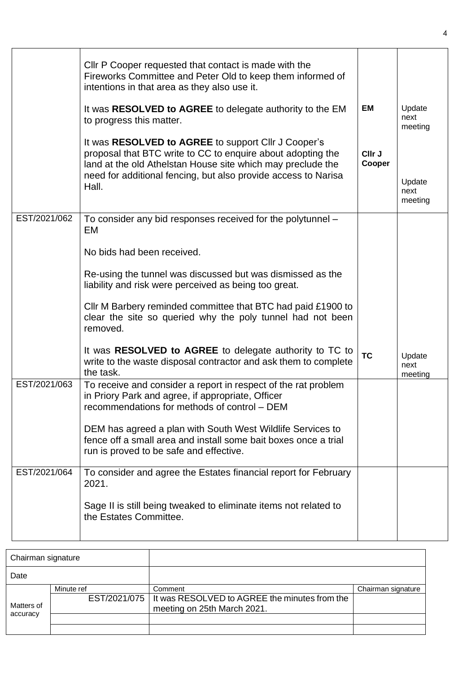|              | Cllr P Cooper requested that contact is made with the<br>Fireworks Committee and Peter Old to keep them informed of<br>intentions in that area as they also use it.<br>It was RESOLVED to AGREE to delegate authority to the EM<br>to progress this matter.<br>It was RESOLVED to AGREE to support Cllr J Cooper's<br>proposal that BTC write to CC to enquire about adopting the<br>land at the old Athelstan House site which may preclude the<br>need for additional fencing, but also provide access to Narisa<br>Hall. | <b>EM</b><br>CIIr J<br>Cooper | Update<br>next<br>meeting<br>Update<br>next<br>meeting |
|--------------|-----------------------------------------------------------------------------------------------------------------------------------------------------------------------------------------------------------------------------------------------------------------------------------------------------------------------------------------------------------------------------------------------------------------------------------------------------------------------------------------------------------------------------|-------------------------------|--------------------------------------------------------|
| EST/2021/062 | To consider any bid responses received for the polytunnel -<br>EM<br>No bids had been received.<br>Re-using the tunnel was discussed but was dismissed as the<br>liability and risk were perceived as being too great.<br>CIIr M Barbery reminded committee that BTC had paid £1900 to<br>clear the site so queried why the poly tunnel had not been<br>removed.                                                                                                                                                            |                               |                                                        |
|              | It was RESOLVED to AGREE to delegate authority to TC to<br>write to the waste disposal contractor and ask them to complete<br>the task.                                                                                                                                                                                                                                                                                                                                                                                     | <b>TC</b>                     | Update<br>next<br>meeting                              |
| EST/2021/063 | To receive and consider a report in respect of the rat problem<br>in Priory Park and agree, if appropriate, Officer<br>recommendations for methods of control - DEM<br>DEM has agreed a plan with South West Wildlife Services to<br>fence off a small area and install some bait boxes once a trial<br>run is proved to be safe and effective.                                                                                                                                                                             |                               |                                                        |
| EST/2021/064 | To consider and agree the Estates financial report for February<br>2021.<br>Sage II is still being tweaked to eliminate items not related to<br>the Estates Committee.                                                                                                                                                                                                                                                                                                                                                      |                               |                                                        |

|                        | Chairman signature |                                                                              |                    |
|------------------------|--------------------|------------------------------------------------------------------------------|--------------------|
| Date                   |                    |                                                                              |                    |
|                        | Minute ref         | Comment                                                                      | Chairman signature |
| Matters of<br>accuracy | EST/2021/075       | It was RESOLVED to AGREE the minutes from the<br>meeting on 25th March 2021. |                    |
|                        |                    |                                                                              |                    |
|                        |                    |                                                                              |                    |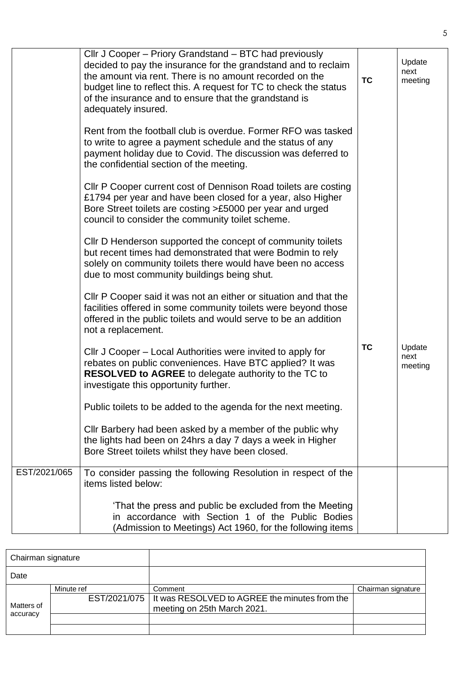|              | Cllr J Cooper - Priory Grandstand - BTC had previously<br>decided to pay the insurance for the grandstand and to reclaim<br>the amount via rent. There is no amount recorded on the<br>budget line to reflect this. A request for TC to check the status<br>of the insurance and to ensure that the grandstand is<br>adequately insured. | <b>TC</b> | Update<br>next<br>meeting |
|--------------|------------------------------------------------------------------------------------------------------------------------------------------------------------------------------------------------------------------------------------------------------------------------------------------------------------------------------------------|-----------|---------------------------|
|              | Rent from the football club is overdue. Former RFO was tasked<br>to write to agree a payment schedule and the status of any<br>payment holiday due to Covid. The discussion was deferred to<br>the confidential section of the meeting.                                                                                                  |           |                           |
|              | CIIr P Cooper current cost of Dennison Road toilets are costing<br>£1794 per year and have been closed for a year, also Higher<br>Bore Street toilets are costing >£5000 per year and urged<br>council to consider the community toilet scheme.                                                                                          |           |                           |
|              | Cllr D Henderson supported the concept of community toilets<br>but recent times had demonstrated that were Bodmin to rely<br>solely on community toilets there would have been no access<br>due to most community buildings being shut.                                                                                                  |           |                           |
|              | CIIr P Cooper said it was not an either or situation and that the<br>facilities offered in some community toilets were beyond those<br>offered in the public toilets and would serve to be an addition<br>not a replacement.                                                                                                             |           |                           |
|              | Cllr J Cooper – Local Authorities were invited to apply for<br>rebates on public conveniences. Have BTC applied? It was<br><b>RESOLVED to AGREE</b> to delegate authority to the TC to<br>investigate this opportunity further.                                                                                                          | ТC        | Update<br>next<br>meeting |
|              | Public toilets to be added to the agenda for the next meeting.                                                                                                                                                                                                                                                                           |           |                           |
|              | Cllr Barbery had been asked by a member of the public why<br>the lights had been on 24hrs a day 7 days a week in Higher<br>Bore Street toilets whilst they have been closed.                                                                                                                                                             |           |                           |
| EST/2021/065 | To consider passing the following Resolution in respect of the<br>items listed below:                                                                                                                                                                                                                                                    |           |                           |
|              | 'That the press and public be excluded from the Meeting<br>in accordance with Section 1 of the Public Bodies<br>(Admission to Meetings) Act 1960, for the following items                                                                                                                                                                |           |                           |

|                        | Chairman signature |                                                              |                    |
|------------------------|--------------------|--------------------------------------------------------------|--------------------|
| Date                   |                    |                                                              |                    |
|                        | Minute ref         | Comment                                                      | Chairman signature |
|                        |                    | EST/2021/075   It was RESOLVED to AGREE the minutes from the |                    |
| Matters of<br>accuracy |                    | meeting on 25th March 2021.                                  |                    |
|                        |                    |                                                              |                    |
|                        |                    |                                                              |                    |